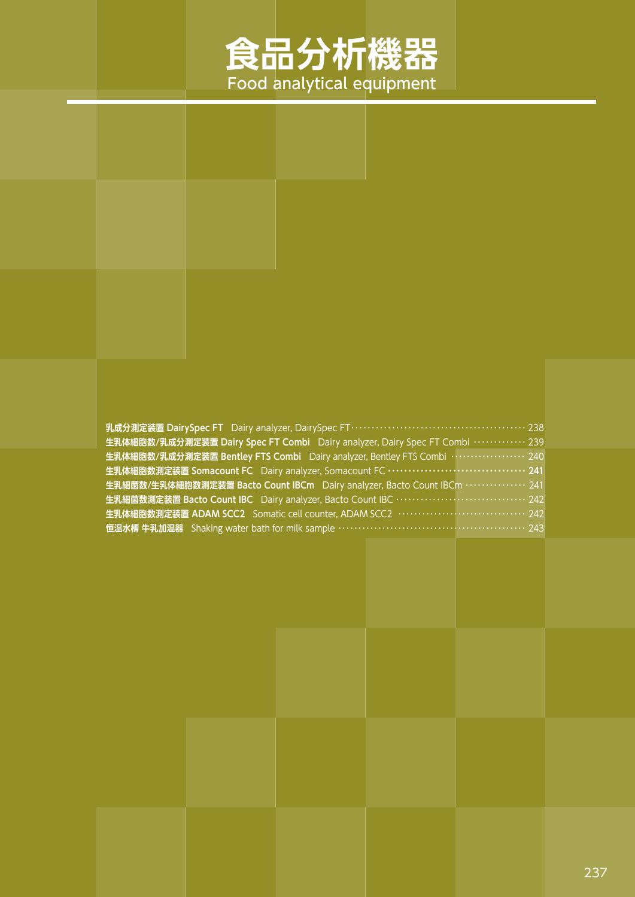# **食品分析機器** Food analytical equipment

#### **乳成分測定装置 DairySpec FT** Dairy analyzer, DairySpec FT・・・・・・・・・・・・・・・・・・・・・・・・・・・・・・・・・・・・・・・・・・・ 238 **生乳体細胞数/乳成分測定装置 Dairy Spec FT Combi** Dairy analyzer, Dairy Spec FT Combi ・・・・・・・・・・・・・ 239 **生乳体細胞数/乳成分測定装置 Bentley FTS Combi** Dairy analyzer, Bentley FTS Combi ・・・・・・・・・・・・・・・・・・・ 240 **生乳体細胞数測定装置 Somacount FC** Dairy analyzer, Somacount FC **・・・・・・・・・・・・・・・・・・・・・・・・・・・・・・・・・・ 241 生乳細菌数/生乳体細胞数測定装置 Bacto Count IBCm** Dairy analyzer, Bacto Count IBCm ・・・・・・・・・・・・・・・ 241 **生乳細菌数測定装置 Bacto Count IBC** Dairy analyzer, Bacto Count IBC ・・・・・・・・・・・・・・・・・・・・・・・・・・・・・・・・ 242 **生乳体細胞数測定装置 ADAM SCC2** Somatic cell counter, ADAM SCC2 ・・・・・・・・・・・・・・・・・・・・・・・・・・・・・・・・ 242 **恒温水槽 牛乳加温器** Shaking water bath for milk sample ・・・・・・・・・・・・・・・・・・・・・・・・・・・・・・・・・・・・・・・・・・・・・・・ 243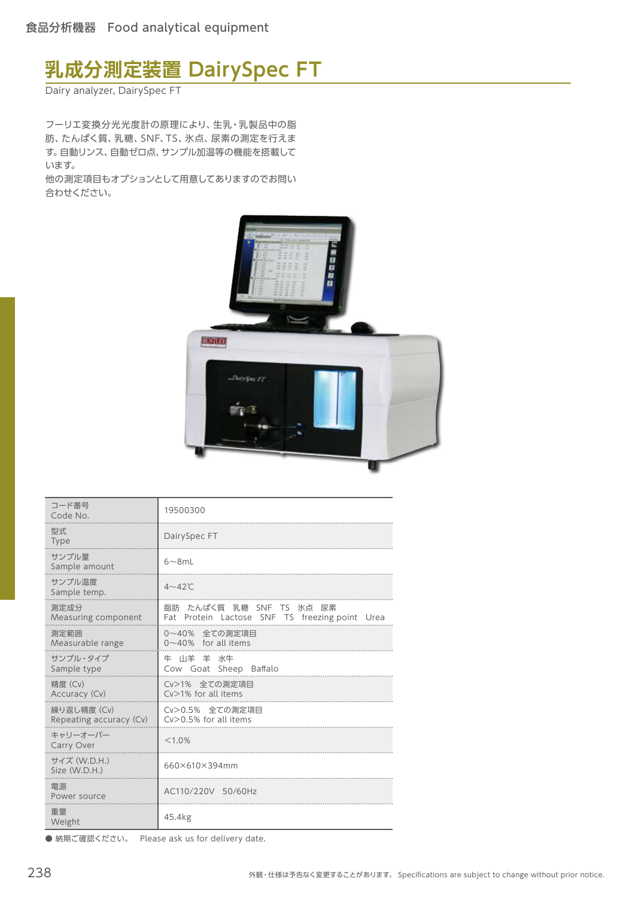# **乳成分測定装置 DairySpec FT**

Dairy analyzer, DairySpec FT

フーリエ変換分光光度計の原理により、生乳・乳製品中の脂 肪、たんぱく質、乳糖、SNF、TS、氷点、尿素の測定を行えま す。自動リンス、自動ゼロ点、サンプル加温等の機能を搭載して います。

他の測定項目もオプションとして用意してありますのでお問い 合わせください。



| コード番号<br>Code No.                      | 19500300                                                                   |
|----------------------------------------|----------------------------------------------------------------------------|
| 型式.<br><b>Type</b>                     | DairySpec FT                                                               |
| サンプル量<br>Sample amount                 | $6\neg 8m$ L                                                               |
| サンプル温度<br>Sample temp.                 | $4\neg 42^\circ C$                                                         |
| 測定成分<br>Measuring component            | 脂肪 たんぱく質 乳糖 SNF TS 氷点 尿素<br>Fat Protein Lactose SNF TS freezing point Urea |
| 測定範囲<br>Measurable range               | 0~40% 全ての測定項目<br>$0 \sim 40\%$ for all items                               |
| サンプル・タイプ<br>Sample type                | 牛 山羊 羊 水牛<br>Cow Goat Sheep Baffalo                                        |
| 精度 (Cv)<br>Accuracy (Cv)               | Cv>1% 全ての測定項目<br>$Cv>1%$ for all items                                     |
| 繰り返し精度 (Cv)<br>Repeating accuracy (Cv) | Cv>0.5% 全ての測定項目<br>$Cv$ > 0.5% for all items                               |
| キャリーオーバー<br>Carry Over                 | < 1.0%                                                                     |
| サイズ (W.D.H.)<br>Size (W.D.H.)          | 660×610×394mm                                                              |
| 電源<br>Power source                     | AC110/220V 50/60Hz                                                         |
| 重量<br>Weight                           | 45.4kg                                                                     |

● 納期ご確認ください。 Please ask us for delivery date.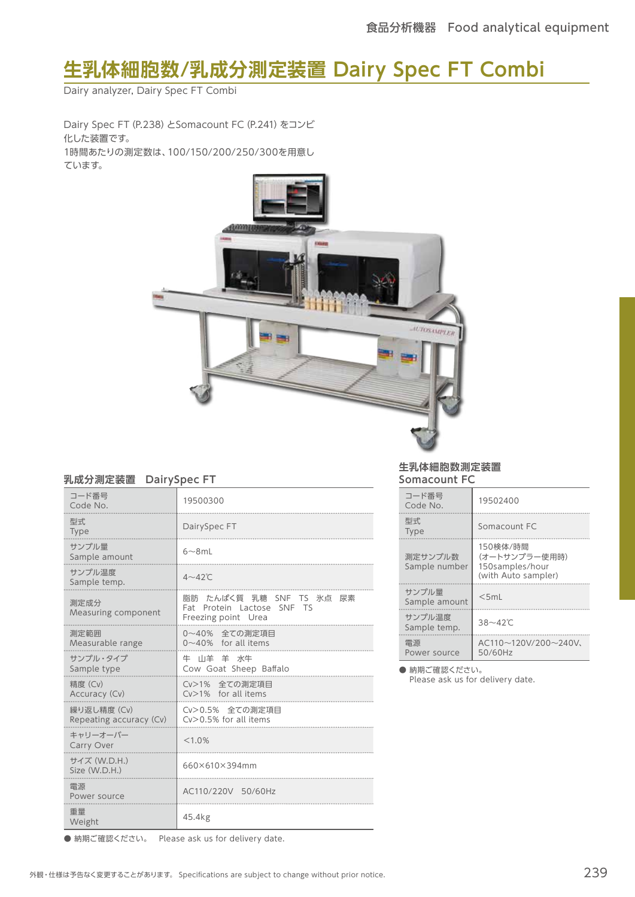# **生乳体細胞数/乳成分測定装置 Dairy Spec FT Combi**

Dairy analyzer, Dairy Spec FT Combi

Dairy Spec FT(P.238)とSomacount FC(P.241)をコンビ 化した装置です。 1時間あたりの測定数は、100/150/200/250/300を用意し ています。



#### **乳成分測定装置 DairySpec FT**

| コード番号<br>Code No.                      | 19500300                                                                      |
|----------------------------------------|-------------------------------------------------------------------------------|
| 型式<br><b>Type</b>                      | DairySpec FT                                                                  |
| サンプル量<br>Sample amount                 | $6\neg 8m$ L                                                                  |
| サンプル温度<br>Sample temp.                 | $4\neg 42^\circ C$                                                            |
| 測定成分<br>Measuring component            | 脂肪 たんぱく質 乳糖 SNF TS 氷点 尿素<br>Fat Protein Lactose SNF TS<br>Freezing point Urea |
| 測定範囲<br>Measurable range               | 0~40% 全ての測定項目<br>$0 \sim 40\%$ for all items                                  |
| サンプル・タイプ<br>Sample type                | 牛 山羊 羊 水牛<br>Cow Goat Sheep Baffalo                                           |
| 精度 (Cv)<br>Accuracy (Cv)               | Cv>1% 全ての測定項目<br>$Cv>1%$ for all items                                        |
| 繰り返し精度 (Cv)<br>Repeating accuracy (Cv) | Cv>0.5% 全ての測定項目<br>$Cv > 0.5\%$ for all items                                 |
| キャリーオーバー<br>Carry Over                 | < 1.0%                                                                        |
| サイズ (W.D.H.)<br>Size (W.D.H.)          | 660×610×394mm                                                                 |
| 電源<br>Power source                     | AC110/220V 50/60Hz                                                            |
| 重量<br>Weight                           | 45.4kg                                                                        |

**生乳体細胞数測定装置 Somacount FC**

| コード番号<br>Code No.        | 19502400                                                            |
|--------------------------|---------------------------------------------------------------------|
| 型式<br><b>Type</b>        | Somacount FC                                                        |
| 測定サンプル数<br>Sample number | 150検体/時間<br>(オートサンプラー使用時)<br>150samples/hour<br>(with Auto sampler) |
| サンプル量<br>Sample amount   | $<$ 5ml                                                             |
| サンプル温度<br>Sample temp.   | $38 - 42^{\circ}$ C                                                 |
| 電源<br>Power source       | $AC110\sim120V/200\sim240V$<br>50/60Hz                              |

● 納期ご確認ください。

Please ask us for delivery date.

● 納期ご確認ください。 Please ask us for delivery date.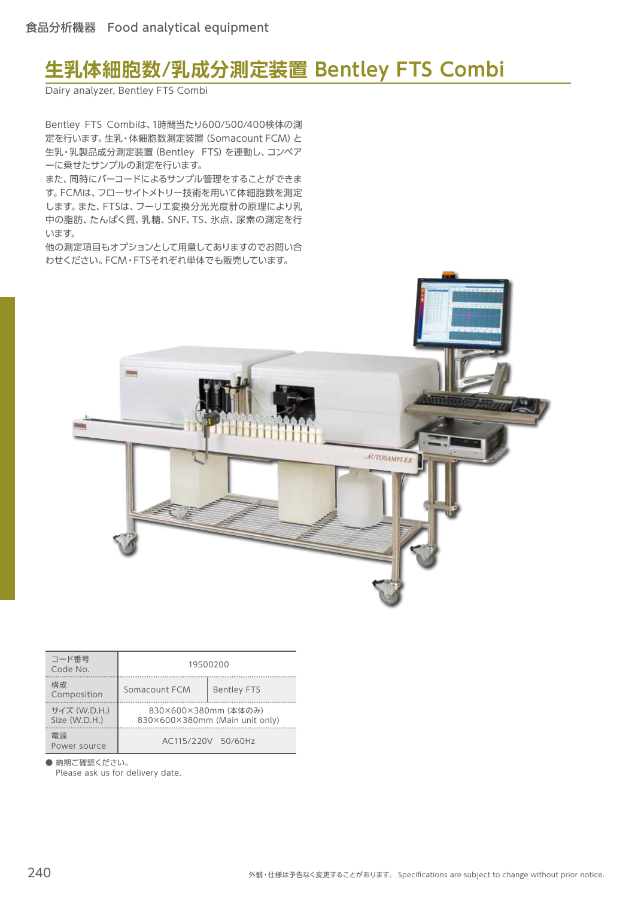### **生乳体細胞数/乳成分測定装置 Bentley FTS Combi**

Dairy analyzer, Bentley FTS Combi

Bentley FTS Combiは、1時間当たり600/500/400検体の測 定を行います。生乳・体細胞数測定装置(Somacount FCM)と 生乳・乳製品成分測定装置(Bentley FTS)を連動し、コンベア ーに乗せたサンプルの測定を行います。

また、同時にバーコードによるサンプル管理をすることができま す。FCMは、フローサイトメトリー技術を用いて体細胞数を測定 します。また、FTSは、フーリエ変換分光光度計の原理により乳 中の脂肪、たんぱく質、乳糖、SNF、TS、氷点、尿素の測定を行 います。

他の測定項目もオプションとして用意してありますのでお問い合 わせください。FCM・FTSそれぞれ単体でも販売しています。



| コード番号<br>Code No.             |                      | 19500200                       |
|-------------------------------|----------------------|--------------------------------|
| 構成.<br>Composition            | Somacount FCM        | <b>Bentley FTS</b>             |
| サイズ (W.D.H.)<br>Size (W.D.H.) | 830×600×380mm (本体のみ) | 830×600×380mm (Main unit only) |
| 雷源<br>Power source            |                      | AC115/220V 50/60Hz             |

● 納期ご確認ください。

Please ask us for delivery date.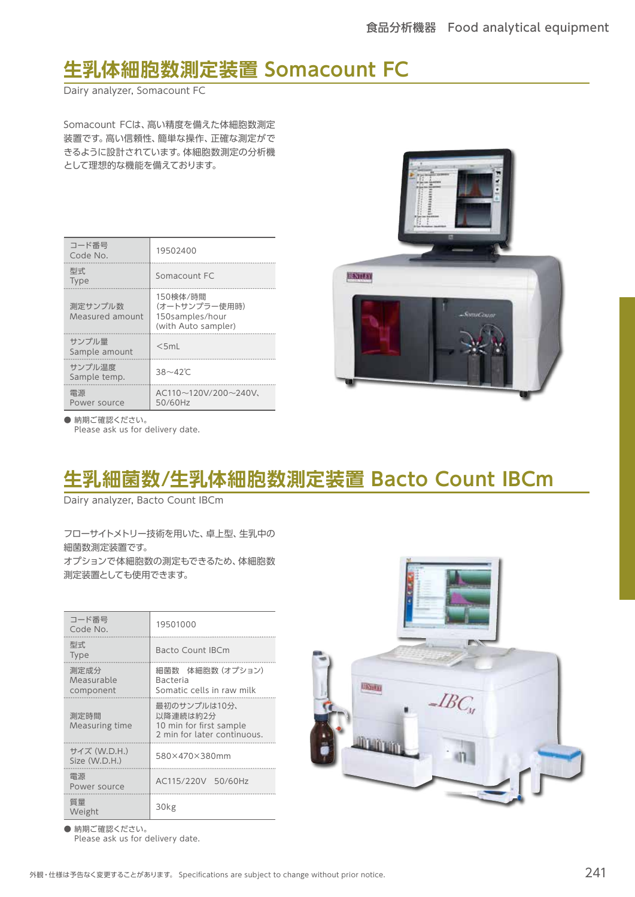### **生乳体細胞数測定装置 Somacount FC**

Dairy analyzer, Somacount FC

Somacount FCは、高い精度を備えた体細胞数測定 装置です。高い信頼性、簡単な操作、正確な測定がで きるように設計されています。体細胞数測定の分析機 として理想的な機能を備えております。

| コード番号<br>Code No.          | 19502400                                                            |
|----------------------------|---------------------------------------------------------------------|
| 型式<br><b>Type</b>          | Somacount FC                                                        |
| 測定サンプル数<br>Measured amount | 150検体/時間<br>(オートサンプラー使用時)<br>150samples/hour<br>(with Auto sampler) |
| サンプル量<br>Sample amount     | $<$ 5ml                                                             |
| サンプル温度<br>Sample temp.     | $38 - 42^{\circ}$ C                                                 |
| 雷源<br>Power source         | $AC110\sim120V/200\sim240V$<br>50/60Hz                              |



● 納期ご確認ください。 Please ask us for delivery date.

# **生乳細菌数/生乳体細胞数測定装置 Bacto Count IBCm**

Dairy analyzer, Bacto Count IBCm

フローサイトメトリー技術を用いた、卓上型、生乳中の 細菌数測定装置です。 オプションで体細胞数の測定もできるため、体細胞数 測定装置としても使用できます。

| コード番号<br>Code No.               | 19501000                                                                           |  |
|---------------------------------|------------------------------------------------------------------------------------|--|
| 型式<br><b>Type</b>               | <b>Bacto Count IBCm</b>                                                            |  |
| 測定成分<br>Measurable<br>component | 細菌数 体細胞数 (オプション)<br><b>Bacteria</b><br>Somatic cells in raw milk                   |  |
| 測定時間<br>Measuring time          | 最初のサンプルは10分、<br>以降連続は約2分<br>10 min for first sample<br>2 min for later continuous. |  |
| サイズ (W.D.H.)<br>Size (W.D.H.)   | 580×470×380mm                                                                      |  |
| 電源<br>Power source              | AC115/220V 50/60Hz                                                                 |  |
| 質量<br>Weight                    | 30kg                                                                               |  |



● 納期ご確認ください。 Please ask us for delivery date.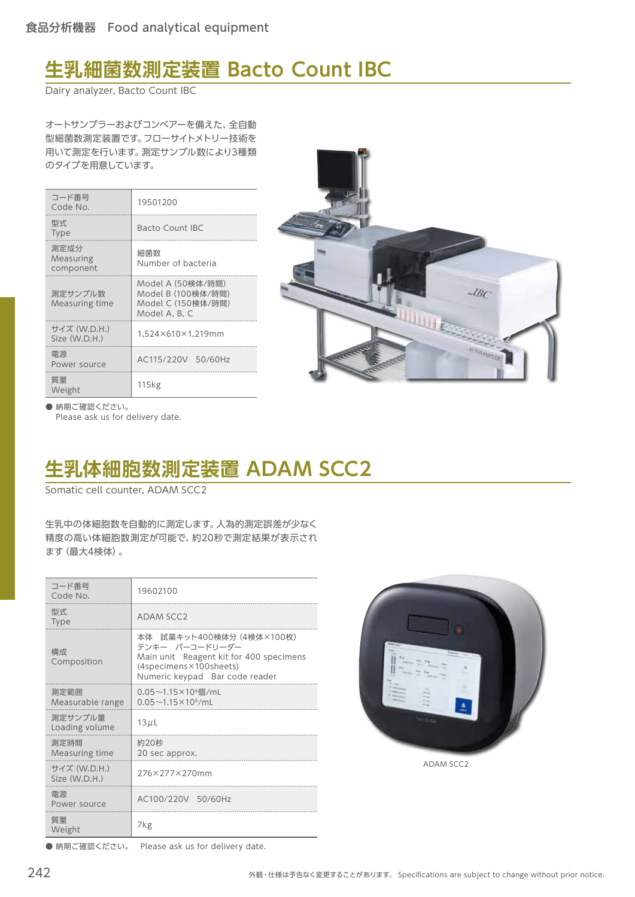# **生乳細菌数測定装置 Bacto Count IBC**

Dairy analyzer, Bacto Count IBC

オートサンプラーおよびコンベアーを備えた、全自動 型細菌数測定装置です。フローサイトメトリー技術を 用いて測定を行います。測定サンプル数により3種類 のタイプを用意しています。

| コード番号<br>Code No.              | 19501200                                                                       |
|--------------------------------|--------------------------------------------------------------------------------|
| 型式<br><b>Type</b>              | Bacto Count IBC                                                                |
| 測定成分<br>Measuring<br>component | 細菌数<br>Number of bacteria                                                      |
| 測定サンプル数<br>Measuring time      | Model A (50検体/時間)<br>Model B (100検体/時間)<br>Model C (150検体/時間)<br>Model A. B. C |
| サイズ (W.D.H.)<br>Size (W.D.H.)  | 1.524×610×1.219mm                                                              |
| 雷源<br>Power source             | AC115/220V 50/60Hz                                                             |
| 質量<br>Weight                   | 115 <sub>kg</sub>                                                              |



● 納期ご確認ください。 Please ask us for delivery date.

# **生乳体細胞数測定装置 ADAM SCC2**

Somatic cell counter, ADAM SCC2

生乳中の体細胞数を自動的に測定します。人為的測定誤差が少なく 精度の高い体細胞数測定が可能で、約20秒で測定結果が表示され ます(最大4検体)。

| コード番号<br>Code No.             | 19602100                                                                                                                                           |  |
|-------------------------------|----------------------------------------------------------------------------------------------------------------------------------------------------|--|
| 型式<br><b>Type</b>             | <b>ADAM SCC2</b>                                                                                                                                   |  |
| 構成<br>Composition             | 本体 試薬キット400検体分 (4検体×100枚)<br>テンキー バーコードリーダー<br>Main unit Reagent kit for 400 specimens<br>(4specimens×100sheets)<br>Numeric keypad Bar code reader |  |
| 測定範囲<br>Measurable range      | 0.05~1.15×10 <sup>6</sup> 個/mL<br>$0.05{\sim}1.15{\times}10^6/\text{m}$ L                                                                          |  |
| 測定サンプル量<br>Loading volume     | $13\mu L$                                                                                                                                          |  |
| 測定時間<br>Measuring time        | 約20秒<br>20 sec approx.                                                                                                                             |  |
| サイズ (W.D.H.)<br>Size (W.D.H.) | 276×277×270mm                                                                                                                                      |  |
| 電源<br>Power source            | AC100/220V 50/60Hz                                                                                                                                 |  |
| 質量<br>Weight                  | 7kg                                                                                                                                                |  |



ADAM SCC2

● 納期ご確認ください。 Please ask us for delivery date.